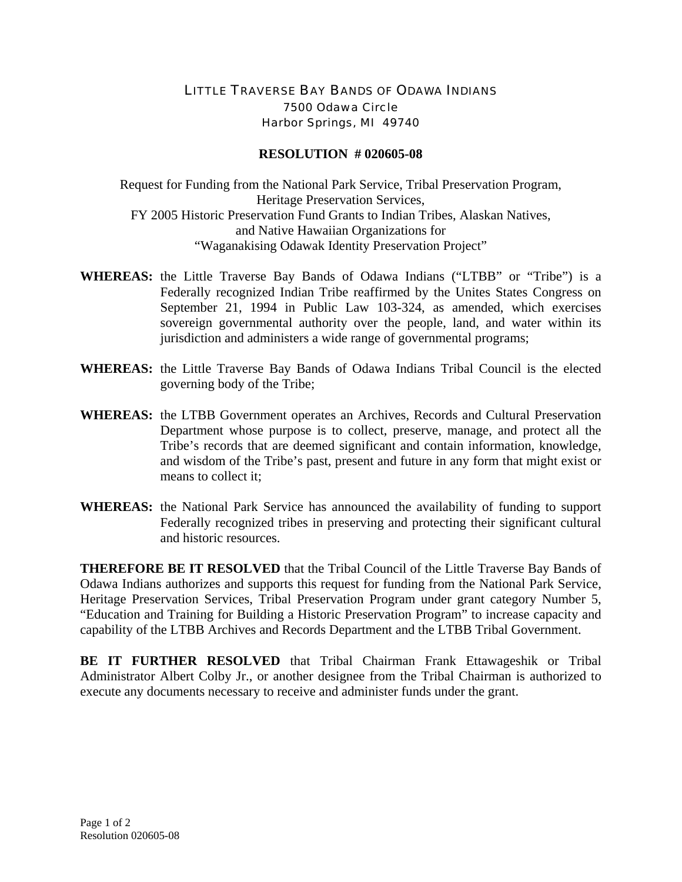## LITTLE TRAVERSE BAY BANDS OF ODAWA INDIANS 7500 Odawa Circle Harbor Springs, MI 49740

## **RESOLUTION # 020605-08**

Request for Funding from the National Park Service, Tribal Preservation Program, Heritage Preservation Services, FY 2005 Historic Preservation Fund Grants to Indian Tribes, Alaskan Natives, and Native Hawaiian Organizations for "Waganakising Odawak Identity Preservation Project"

- **WHEREAS:** the Little Traverse Bay Bands of Odawa Indians ("LTBB" or "Tribe") is a Federally recognized Indian Tribe reaffirmed by the Unites States Congress on September 21, 1994 in Public Law 103-324, as amended, which exercises sovereign governmental authority over the people, land, and water within its jurisdiction and administers a wide range of governmental programs;
- **WHEREAS:** the Little Traverse Bay Bands of Odawa Indians Tribal Council is the elected governing body of the Tribe;
- **WHEREAS:** the LTBB Government operates an Archives, Records and Cultural Preservation Department whose purpose is to collect, preserve, manage, and protect all the Tribe's records that are deemed significant and contain information, knowledge, and wisdom of the Tribe's past, present and future in any form that might exist or means to collect it;
- **WHEREAS:** the National Park Service has announced the availability of funding to support Federally recognized tribes in preserving and protecting their significant cultural and historic resources.

**THEREFORE BE IT RESOLVED** that the Tribal Council of the Little Traverse Bay Bands of Odawa Indians authorizes and supports this request for funding from the National Park Service, Heritage Preservation Services, Tribal Preservation Program under grant category Number 5, "Education and Training for Building a Historic Preservation Program" to increase capacity and capability of the LTBB Archives and Records Department and the LTBB Tribal Government.

**BE IT FURTHER RESOLVED** that Tribal Chairman Frank Ettawageshik or Tribal Administrator Albert Colby Jr., or another designee from the Tribal Chairman is authorized to execute any documents necessary to receive and administer funds under the grant.